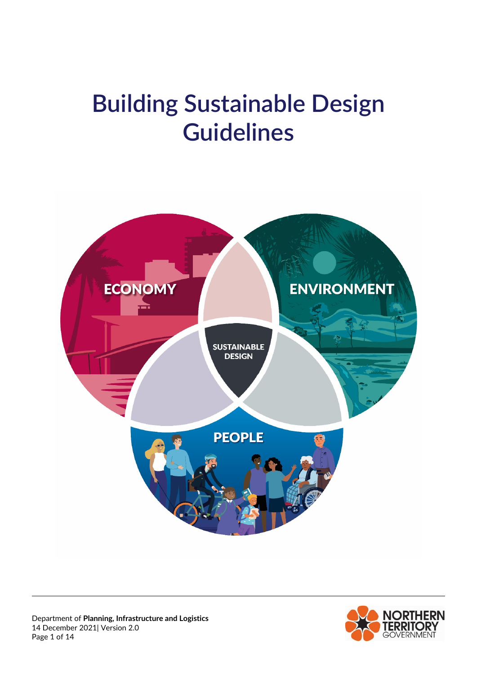# **Building Sustainable Design Guidelines**



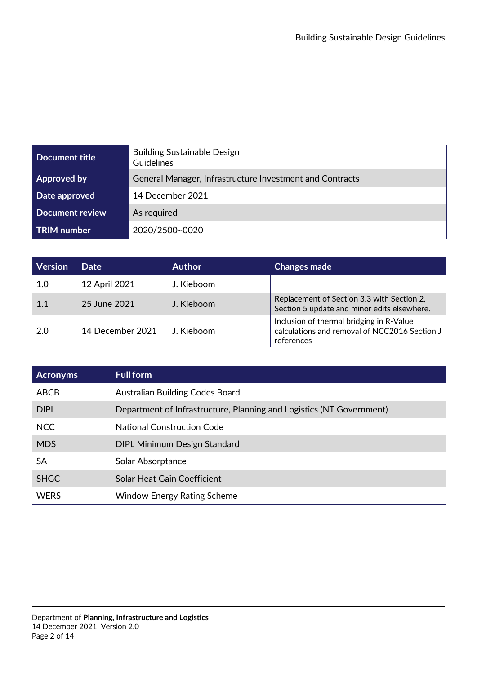| Document title     | <b>Building Sustainable Design</b><br>Guidelines         |
|--------------------|----------------------------------------------------------|
| <b>Approved by</b> | General Manager, Infrastructure Investment and Contracts |
| Date approved      | 14 December 2021                                         |
| Document review    | As required                                              |
| <b>TRIM</b> number | 2020/2500~0020                                           |

| <b>Version</b> | <b>Date</b>      | <b>Author</b> | <b>Changes made</b>                                                                                       |
|----------------|------------------|---------------|-----------------------------------------------------------------------------------------------------------|
| 1.0            | 12 April 2021    | J. Kieboom    |                                                                                                           |
| 1.1            | 25 June 2021     | J. Kieboom    | Replacement of Section 3.3 with Section 2,<br>Section 5 update and minor edits elsewhere.                 |
| 2.0            | 14 December 2021 | J. Kieboom    | Inclusion of thermal bridging in R-Value<br>calculations and removal of NCC2016 Section J  <br>references |

| <b>Acronyms</b> | <b>Full form</b>                                                     |
|-----------------|----------------------------------------------------------------------|
| ABCB            | Australian Building Codes Board                                      |
| <b>DIPL</b>     | Department of Infrastructure, Planning and Logistics (NT Government) |
| <b>NCC</b>      | <b>National Construction Code</b>                                    |
| <b>MDS</b>      | <b>DIPL Minimum Design Standard</b>                                  |
| SA              | Solar Absorptance                                                    |
| <b>SHGC</b>     | Solar Heat Gain Coefficient                                          |
| <b>WERS</b>     | <b>Window Energy Rating Scheme</b>                                   |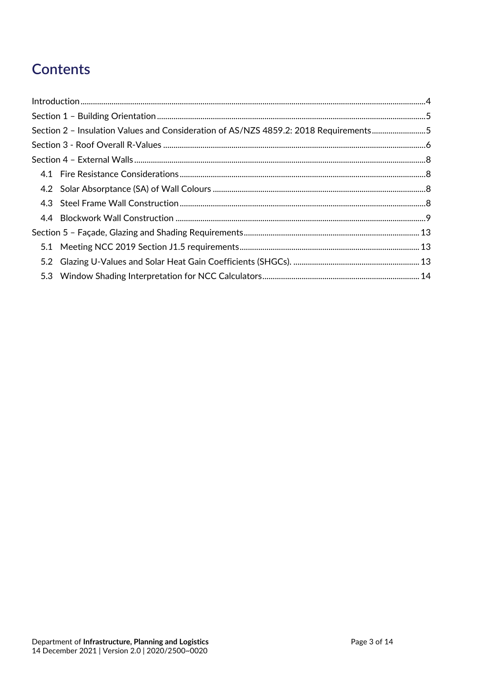# **Contents**

| Section 2 - Insulation Values and Consideration of AS/NZS 4859.2: 2018 Requirements5 |  |
|--------------------------------------------------------------------------------------|--|
|                                                                                      |  |
|                                                                                      |  |
|                                                                                      |  |
|                                                                                      |  |
|                                                                                      |  |
|                                                                                      |  |
|                                                                                      |  |
|                                                                                      |  |
|                                                                                      |  |
|                                                                                      |  |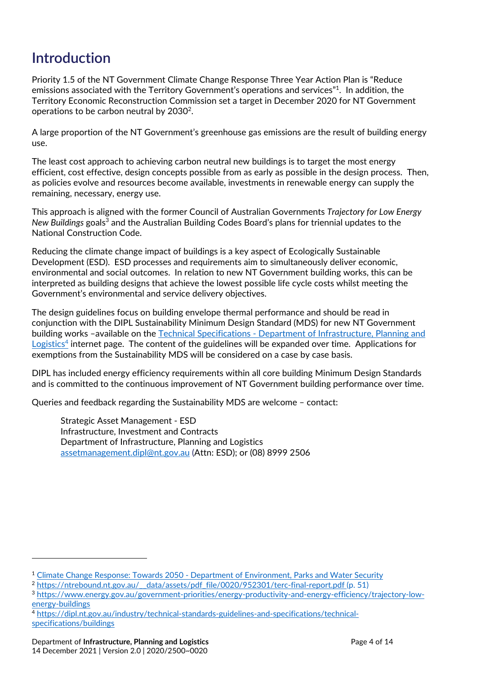# **Introduction**

Priority 1.5 of the NT Government Climate Change Response Three Year Action Plan is "Reduce emissions associated with the Territory Government's operations and services"1. In addition, the Territory Economic Reconstruction Commission set a target in December 2020 for NT Government operations to be carbon neutral by 2030<sup>2</sup>.

A large proportion of the NT Government's greenhouse gas emissions are the result of building energy use.

The least cost approach to achieving carbon neutral new buildings is to target the most energy efficient, cost effective, design concepts possible from as early as possible in the design process. Then, as policies evolve and resources become available, investments in renewable energy can supply the remaining, necessary, energy use.

This approach is aligned with the former Council of Australian Governments *Trajectory for Low Energy New Buildings* goals<sup>3</sup> and the Australian Building Codes Board's plans for triennial updates to the National Construction Code.

Reducing the climate change impact of buildings is a key aspect of Ecologically Sustainable Development (ESD). ESD processes and requirements aim to simultaneously deliver economic, environmental and social outcomes. In relation to new NT Government building works, this can be interpreted as building designs that achieve the lowest possible life cycle costs whilst meeting the Government's environmental and service delivery objectives.

The design guidelines focus on building envelope thermal performance and should be read in conjunction with the DIPL Sustainability Minimum Design Standard (MDS) for new NT Government building works -available on the Technical Specifications - Department of Infrastructure, Planning and Logistics<sup>4</sup> internet page. The content of the guidelines will be expanded over time. Applications for exemptions from the Sustainability MDS will be considered on a case by case basis.

DIPL has included energy efficiency requirements within all core building Minimum Design Standards and is committed to the continuous improvement of NT Government building performance over time.

Queries and feedback regarding the Sustainability MDS are welcome – contact:

Strategic Asset Management ‐ ESD Infrastructure, Investment and Contracts Department of Infrastructure, Planning and Logistics assetmanagement.dipl@nt.gov.au (Attn: ESD); or (08) 8999 2506

<sup>1</sup> Climate Change Response: Towards 2050 ‐ Department of Environment, Parks and Water Security

<sup>&</sup>lt;sup>2</sup> https://ntrebound.nt.gov.au/ data/assets/pdf file/0020/952301/terc-final-report.pdf (p. 51)

<sup>3</sup> https://www.energy.gov.au/government-priorities/energy-productivity-and-energy-efficiency/trajectory-lowenergy‐buildings

<sup>4</sup> https://dipl.nt.gov.au/industry/technical‐standards‐guidelines‐and‐specifications/technical‐ specifications/buildings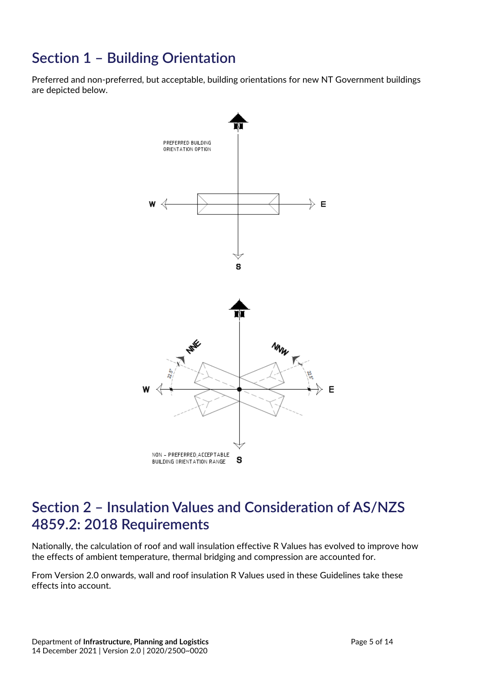# **Section 1 – Building Orientation**

Preferred and non-preferred, but acceptable, building orientations for new NT Government buildings are depicted below.



## **Section 2 – Insulation Values and Consideration of AS/NZS 4859.2: 2018 Requirements**

Nationally, the calculation of roof and wall insulation effective R Values has evolved to improve how the effects of ambient temperature, thermal bridging and compression are accounted for.

From Version 2.0 onwards, wall and roof insulation R Values used in these Guidelines take these effects into account.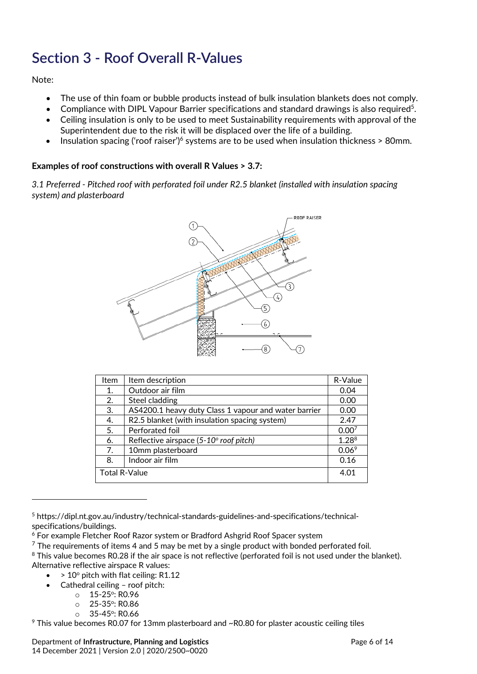# **Section 3 ‐ Roof Overall R‐Values**

Note:

- The use of thin foam or bubble products instead of bulk insulation blankets does not comply.
- Compliance with DIPL Vapour Barrier specifications and standard drawings is also required<sup>5</sup>.
- Ceiling insulation is only to be used to meet Sustainability requirements with approval of the Superintendent due to the risk it will be displaced over the life of a building.
- Insulation spacing ('roof raiser')<sup>6</sup> systems are to be used when insulation thickness  $> 80$ mm.

#### **Examples of roof constructions with overall R Values > 3.7:**

*3.1 Preferred ‐ Pitched roof with perforated foil under R2.5 blanket (installed with insulation spacing system) and plasterboard*



| Item                 | Item description                                     | R-Value           |
|----------------------|------------------------------------------------------|-------------------|
| 1.                   | Outdoor air film                                     | 0.04              |
| 2.                   | Steel cladding                                       | 0.00              |
| 3.                   | AS4200.1 heavy duty Class 1 vapour and water barrier | 0.00              |
| 4.                   | R2.5 blanket (with insulation spacing system)        | 2.47              |
| 5.                   | Perforated foil                                      | 0.00 <sup>7</sup> |
| 6.                   | Reflective airspace (5-10° roof pitch)               | $1.28^{8}$        |
| 7.                   | 10mm plasterboard                                    | 0.06 <sup>9</sup> |
| 8.                   | Indoor air film                                      | 0.16              |
| <b>Total R-Value</b> |                                                      | 4.01              |

<sup>5</sup> https://dipl.nt.gov.au/industry/technical-standards-guidelines-and-specifications/technicalspecifications/buildings.

- $> 10^{\circ}$  pitch with flat ceiling: R1.12
	- Cathedral ceiling roof pitch:

- $\circ$  15-25 $\circ$ : RO.96
- $\circ$  25-35 $\degree$ : RO.86  $O$  35-45<sup>o</sup>: RO.66
- <sup>9</sup> This value becomes R0.07 for 13mm plasterboard and ~R0.80 for plaster acoustic ceiling tiles

<sup>6</sup> For example Fletcher Roof Razor system or Bradford Ashgrid Roof Spacer system

 $7$  The requirements of items 4 and 5 may be met by a single product with bonded perforated foil.

<sup>&</sup>lt;sup>8</sup> This value becomes R0.28 if the air space is not reflective (perforated foil is not used under the blanket). Alternative reflective airspace R values: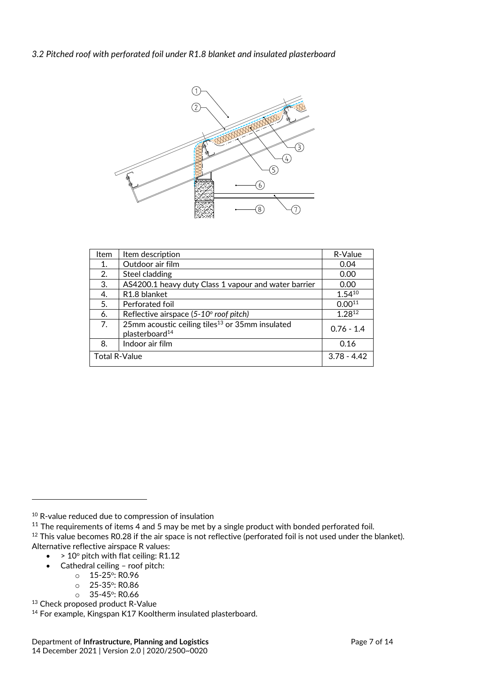#### *3.2 Pitched roof with perforated foil under R1.8 blanket and insulated plasterboard*



| Item                 | Item description                                                                          | R-Value       |
|----------------------|-------------------------------------------------------------------------------------------|---------------|
| 1.                   | Outdoor air film                                                                          | 0.04          |
| 2.                   | Steel cladding                                                                            | 0.00          |
| 3.                   | AS4200.1 heavy duty Class 1 vapour and water barrier                                      | 0.00          |
| 4.                   | R1.8 blanket                                                                              | $1.54^{10}$   |
| 5.                   | Perforated foil                                                                           | $0.00^{11}$   |
| 6.                   | Reflective airspace (5-10° roof pitch)                                                    | 1.2812        |
| 7.                   | 25mm acoustic ceiling tiles <sup>13</sup> or 35mm insulated<br>plasterboard <sup>14</sup> | $0.76 - 1.4$  |
| 8.                   | Indoor air film                                                                           | 0.16          |
| <b>Total R-Value</b> |                                                                                           | $3.78 - 4.42$ |

<sup>10</sup> R-value reduced due to compression of insulation

 $11$  The requirements of items 4 and 5 may be met by a single product with bonded perforated foil.

 $12$  This value becomes R0.28 if the air space is not reflective (perforated foil is not used under the blanket). Alternative reflective airspace R values:

- $\bullet$  > 10 $\circ$  pitch with flat ceiling: R1.12
- Cathedral ceiling roof pitch:
	- $O = 15 25$ <sup>o</sup>: R<sub>0.96</sub>

- $O = 25 35$ <sup>o</sup>: RO.86
- $\circ$  35-45°: RO.66
- 13 Check proposed product R-Value

<sup>14</sup> For example, Kingspan K17 Kooltherm insulated plasterboard.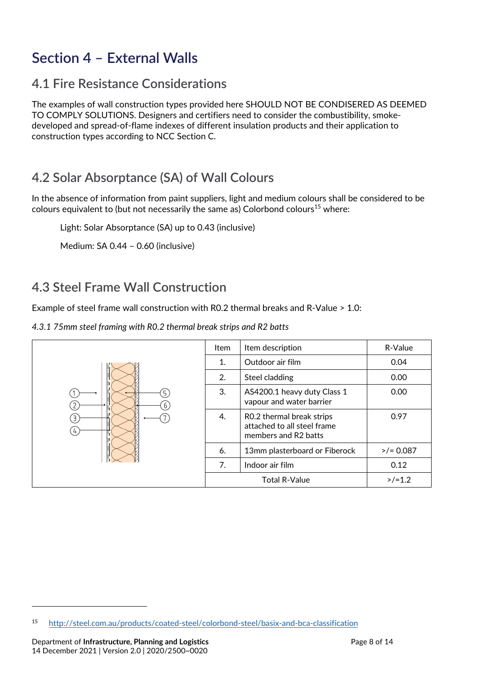# **Section 4 – External Walls**

## **4.1 Fire Resistance Considerations**

The examples of wall construction types provided here SHOULD NOT BE CONDISERED AS DEEMED TO COMPLY SOLUTIONS. Designers and certifiers need to consider the combustibility, smoke‐ developed and spread‐of‐flame indexes of different insulation products and their application to construction types according to NCC Section C.

## **4.2 Solar Absorptance (SA) of Wall Colours**

In the absence of information from paint suppliers, light and medium colours shall be considered to be colours equivalent to (but not necessarily the same as) Colorbond colours<sup>15</sup> where:

Light: Solar Absorptance (SA) up to 0.43 (inclusive)

Medium: SA 0.44 – 0.60 (inclusive)

## **4.3 Steel Frame Wall Construction**

Example of steel frame wall construction with R0.2 thermal breaks and R‐Value > 1.0:

*4.3.1 75mm steel framing with R0.2 thermal break strips and R2 batts*



<sup>15</sup> http://steel.com.au/products/coated‐steel/colorbond‐steel/basix‐and‐bca‐classification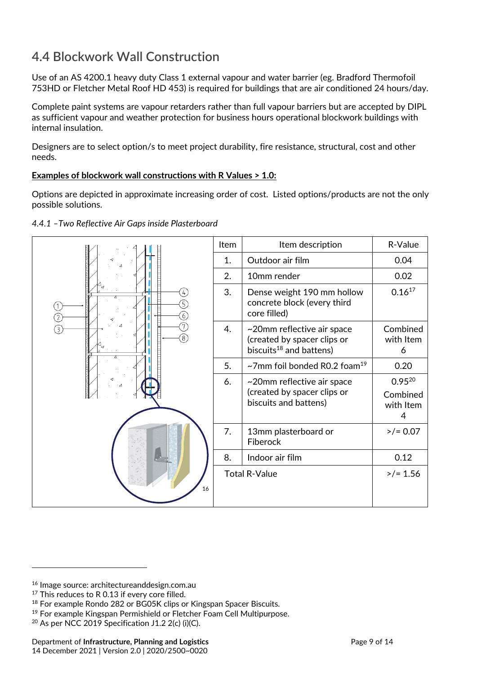## **4.4 Blockwork Wall Construction**

Use of an AS 4200.1 heavy duty Class 1 external vapour and water barrier (eg. Bradford Thermofoil 753HD or Fletcher Metal Roof HD 453) is required for buildings that are air conditioned 24 hours/day.

Complete paint systems are vapour retarders rather than full vapour barriers but are accepted by DIPL as sufficient vapour and weather protection for business hours operational blockwork buildings with internal insulation.

Designers are to select option/s to meet project durability, fire resistance, structural, cost and other needs.

#### **Examples of blockwork wall constructions with R Values > 1.0:**

Options are depicted in approximate increasing order of cost. Listed options/products are not the only possible solutions.



#### *4.4.1 –Two Reflective Air Gaps inside Plasterboard*

<sup>16</sup> Image source: architectureanddesign.com.au

<sup>&</sup>lt;sup>17</sup> This reduces to R 0.13 if every core filled.

<sup>18</sup> For example Rondo 282 or BG05K clips or Kingspan Spacer Biscuits.

<sup>19</sup> For example Kingspan Permishield or Fletcher Foam Cell Multipurpose.

 $20$  As per NCC 2019 Specification J1.2 2(c) (i)(C).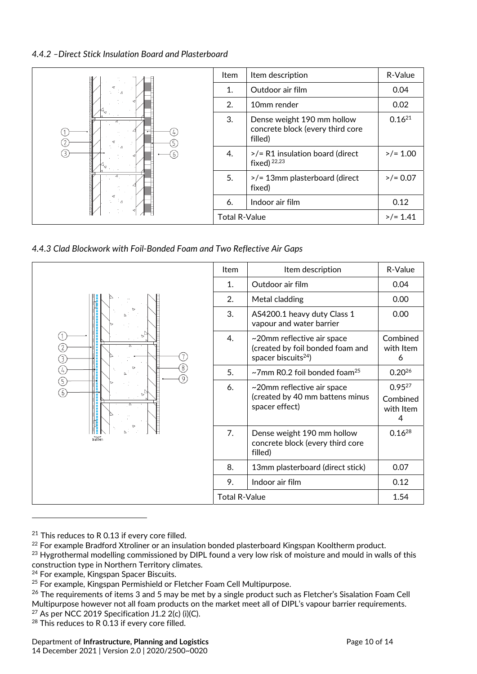#### *4.4.2 –Direct Stick Insulation Board and Plasterboard*

|                          | <b>Item</b>          | Item description                                                          | R-Value     |
|--------------------------|----------------------|---------------------------------------------------------------------------|-------------|
|                          | 1.                   | Outdoor air film                                                          | 0.04        |
|                          | 2.                   | 10mm render                                                               | 0.02        |
| Δ<br>$\left(2\right)$    | 3.                   | Dense weight 190 mm hollow<br>concrete block (every third core<br>filled) | $0.16^{21}$ |
| $\mathbb{I}_\Delta$<br>᠖ | 4.                   | >/= R1 insulation board (direct<br>fixed) $22,23$                         | $>/- 1.00$  |
| ÷⊿                       | 5.                   | >/= 13mm plasterboard (direct<br>fixed)                                   | $>$ /= 0.07 |
|                          | 6.                   | Indoor air film                                                           | 0.12        |
|                          | <b>Total R-Value</b> |                                                                           | $>$ /= 1.41 |

*4.4.3 Clad Blockwork with Foil‐Bonded Foam and Two Reflective Air Gaps* 

|                                                | Item                 | Item description                                                                                  | R-Value                                   |
|------------------------------------------------|----------------------|---------------------------------------------------------------------------------------------------|-------------------------------------------|
|                                                | 1.                   | Outdoor air film                                                                                  | 0.04                                      |
|                                                | 2.                   | Metal cladding                                                                                    | 0.00                                      |
| ②<br>③<br>8<br>$\bigoplus$<br>$\left[9\right]$ | 3.                   | AS4200.1 heavy duty Class 1<br>vapour and water barrier                                           | 0.00                                      |
|                                                | 4.                   | ~20mm reflective air space<br>(created by foil bonded foam and<br>spacer biscuits <sup>24</sup> ) | Combined<br>with Item<br>6                |
|                                                | 5.                   | $\sim$ 7mm R0.2 foil bonded foam <sup>25</sup>                                                    | $0.20^{26}$                               |
| G)<br>6                                        | 6.                   | ~20mm reflective air space<br>(created by 40 mm battens minus<br>spacer effect)                   | $0.95^{27}$<br>Combined<br>with Item<br>4 |
| batten                                         | 7.                   | Dense weight 190 mm hollow<br>concrete block (every third core<br>filled)                         | $0.16^{28}$                               |
|                                                | 8.                   | 13mm plasterboard (direct stick)                                                                  | 0.07                                      |
|                                                | 9.                   | Indoor air film                                                                                   | 0.12                                      |
|                                                | <b>Total R-Value</b> |                                                                                                   | 1.54                                      |

 $21$  This reduces to R 0.13 if every core filled.

<sup>&</sup>lt;sup>22</sup> For example Bradford Xtroliner or an insulation bonded plasterboard Kingspan Kooltherm product.

<sup>&</sup>lt;sup>23</sup> Hygrothermal modelling commissioned by DIPL found a very low risk of moisture and mould in walls of this construction type in Northern Territory climates.

<sup>&</sup>lt;sup>24</sup> For example, Kingspan Spacer Biscuits.

<sup>&</sup>lt;sup>25</sup> For example, Kingspan Permishield or Fletcher Foam Cell Multipurpose.

<sup>&</sup>lt;sup>26</sup> The requirements of items 3 and 5 may be met by a single product such as Fletcher's Sisalation Foam Cell Multipurpose however not all foam products on the market meet all of DIPL's vapour barrier requirements. <sup>27</sup> As per NCC 2019 Specification J1.2 2(c) (i)(C).

<sup>&</sup>lt;sup>28</sup> This reduces to R 0.13 if every core filled.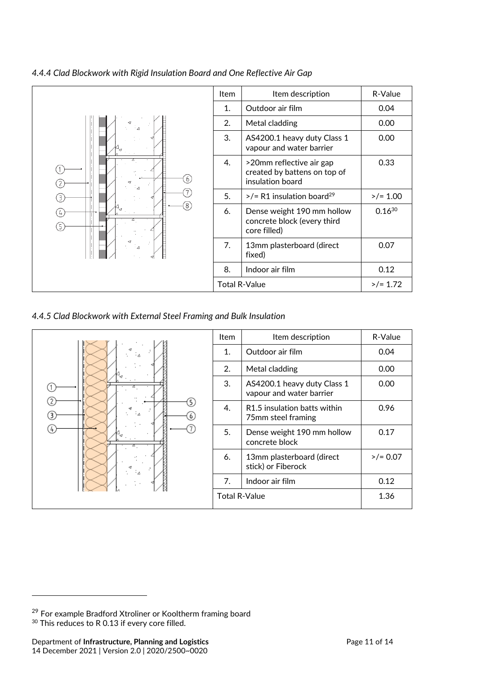

*4.4.4 Clad Blockwork with Rigid Insulation Board and One Reflective Air Gap*

*4.4.5 Clad Blockwork with External Steel Framing and Bulk Insulation*



<sup>&</sup>lt;sup>29</sup> For example Bradford Xtroliner or Kooltherm framing board <sup>30</sup> This reduces to R 0.13 if every core filled.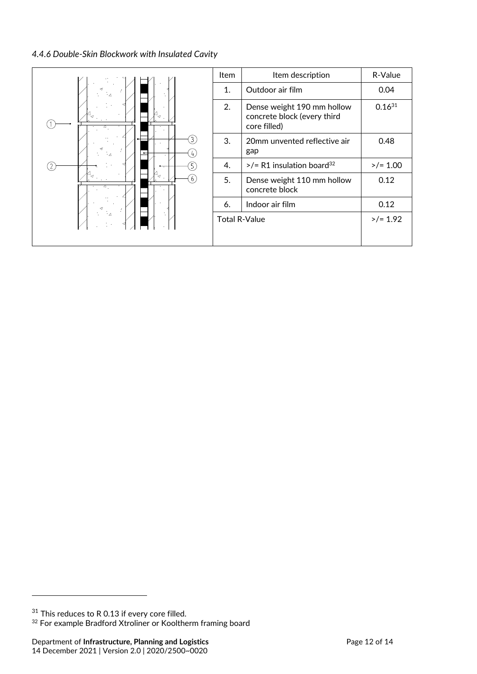#### *4.4.6 Double‐Skin Blockwork with Insulated Cavity*

|                          | Item | Item description                                                          | R-Value     |
|--------------------------|------|---------------------------------------------------------------------------|-------------|
| '⊲'<br>3<br>÷.<br>5<br>6 | 1.   | Outdoor air film                                                          | 0.04        |
|                          | 2.   | Dense weight 190 mm hollow<br>concrete block (every third<br>core filled) | $0.16^{31}$ |
|                          | 3.   | 20mm unvented reflective air<br>gap                                       | 0.48        |
|                          | 4.   | $>$ /= R1 insulation board <sup>32</sup>                                  | $>/- 1.00$  |
|                          | 5.   | Dense weight 110 mm hollow<br>concrete block                              | 0.12        |
|                          | 6.   | Indoor air film                                                           | 0.12        |
| ÷и                       |      | <b>Total R-Value</b>                                                      | $>$ /= 1.92 |
|                          |      |                                                                           |             |

 $31$  This reduces to R 0.13 if every core filled.

<sup>&</sup>lt;sup>32</sup> For example Bradford Xtroliner or Kooltherm framing board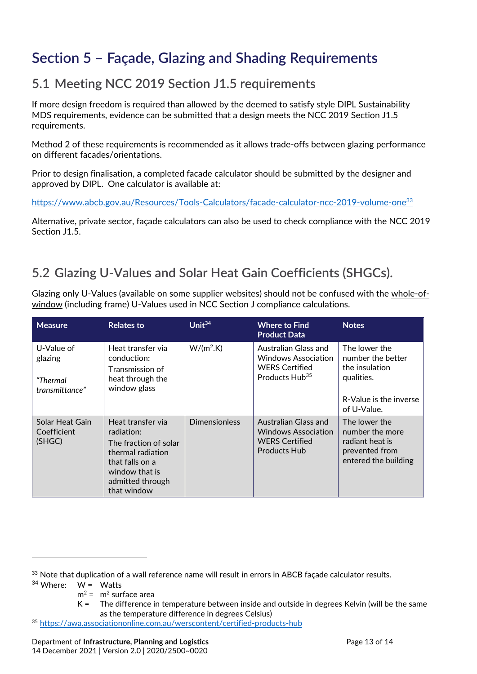# **Section 5 – Façade, Glazing and Shading Requirements**

## **5.1 Meeting NCC 2019 Section J1.5 requirements**

If more design freedom is required than allowed by the deemed to satisfy style DIPL Sustainability MDS requirements, evidence can be submitted that a design meets the NCC 2019 Section J1.5 requirements.

Method 2 of these requirements is recommended as it allows trade‐offs between glazing performance on different facades/orientations.

Prior to design finalisation, a completed facade calculator should be submitted by the designer and approved by DIPL. One calculator is available at:

https://www.abcb.gov.au/Resources/Tools-Calculators/facade-calculator-ncc-2019-volume-one<sup>33</sup>

Alternative, private sector, façade calculators can also be used to check compliance with the NCC 2019 Section J1.5.

## **5.2 Glazing U‐Values and Solar Heat Gain Coefficients (SHGCs).**

Glazing only U‐Values (available on some supplier websites) should not be confused with the whole‐of‐ window (including frame) U-Values used in NCC Section J compliance calculations.

| <b>Measure</b>                                      | <b>Relates to</b>                                                                                                                                     | Unit $34$            | <b>Where to Find</b><br><b>Product Data</b>                                                               | <b>Notes</b>                                                                                  |
|-----------------------------------------------------|-------------------------------------------------------------------------------------------------------------------------------------------------------|----------------------|-----------------------------------------------------------------------------------------------------------|-----------------------------------------------------------------------------------------------|
| U-Value of<br>glazing<br>"Thermal<br>transmittance" | Heat transfer via<br>conduction:<br>Transmission of<br>heat through the<br>window glass                                                               | $W/(m^2.K)$          | Australian Glass and<br><b>Windows Association</b><br><b>WERS Certified</b><br>Products Hub <sup>35</sup> | The lower the<br>number the better<br>the insulation<br>qualities.                            |
|                                                     |                                                                                                                                                       |                      |                                                                                                           | R-Value is the inverse<br>of U-Value.                                                         |
| Solar Heat Gain<br>Coefficient<br>(SHGC)            | Heat transfer via<br>radiation:<br>The fraction of solar<br>thermal radiation<br>that falls on a<br>window that is<br>admitted through<br>that window | <b>Dimensionless</b> | Australian Glass and<br><b>Windows Association</b><br><b>WERS Certified</b><br><b>Products Hub</b>        | The lower the<br>number the more<br>radiant heat is<br>prevented from<br>entered the building |

 $34$  Where:  $W = W$ atts

<sup>&</sup>lt;sup>33</sup> Note that duplication of a wall reference name will result in errors in ABCB façade calculator results.

 $m^2$  =  $m^2$  surface area

K = The difference in temperature between inside and outside in degrees Kelvin (will be the same as the temperature difference in degrees Celsius)

<sup>35</sup> https://awa.associationonline.com.au/werscontent/certified‐products‐hub